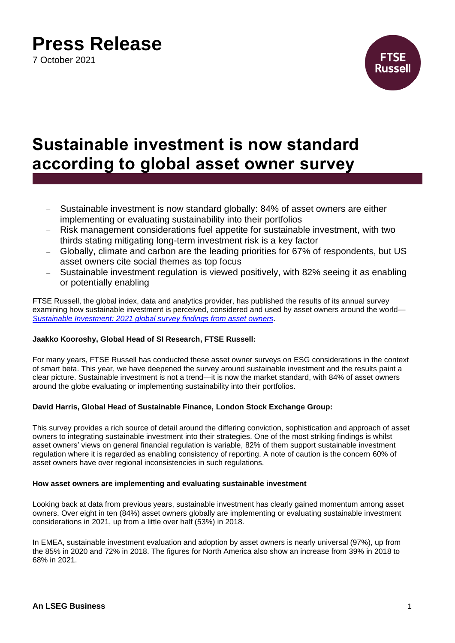7 October 2021



### **Sustainable investment is now standard according to global asset owner survey**

- − Sustainable investment is now standard globally: 84% of asset owners are either implementing or evaluating sustainability into their portfolios
- − Risk management considerations fuel appetite for sustainable investment, with two thirds stating mitigating long-term investment risk is a key factor
- − Globally, climate and carbon are the leading priorities for 67% of respondents, but US asset owners cite social themes as top focus
- Sustainable investment regulation is viewed positively, with 82% seeing it as enabling or potentially enabling

FTSE Russell, the global index, data and analytics provider, has published the results of its annual survey examining how sustainable investment is perceived, considered and used by asset owners around the world— *[Sustainable Investment: 2021 global survey findings from asset owners](https://www.ftserussell.com/index/spotlight/sustainable-investment-2021-global-survey-findings-asset-owners)*.

### **Jaakko Kooroshy, Global Head of SI Research, FTSE Russell:**

For many years, FTSE Russell has conducted these asset owner surveys on ESG considerations in the context of smart beta. This year, we have deepened the survey around sustainable investment and the results paint a clear picture. Sustainable investment is not a trend—it is now the market standard, with 84% of asset owners around the globe evaluating or implementing sustainability into their portfolios.

### **David Harris, Global Head of Sustainable Finance, London Stock Exchange Group:**

This survey provides a rich source of detail around the differing conviction, sophistication and approach of asset owners to integrating sustainable investment into their strategies. One of the most striking findings is whilst asset owners' views on general financial regulation is variable, 82% of them support sustainable investment regulation where it is regarded as enabling consistency of reporting. A note of caution is the concern 60% of asset owners have over regional inconsistencies in such regulations.

### **How asset owners are implementing and evaluating sustainable investment**

Looking back at data from previous years, sustainable investment has clearly gained momentum among asset owners. Over eight in ten (84%) asset owners globally are implementing or evaluating sustainable investment considerations in 2021, up from a little over half (53%) in 2018.

In EMEA, sustainable investment evaluation and adoption by asset owners is nearly universal (97%), up from the 85% in 2020 and 72% in 2018. The figures for North America also show an increase from 39% in 2018 to 68% in 2021.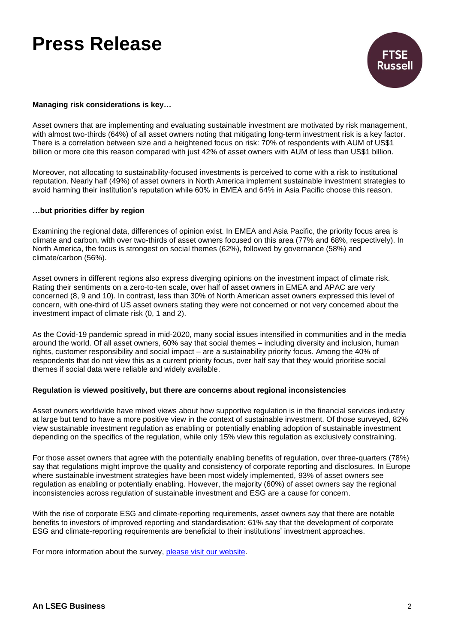

### **Managing risk considerations is key…**

Asset owners that are implementing and evaluating sustainable investment are motivated by risk management, with almost two-thirds (64%) of all asset owners noting that mitigating long-term investment risk is a key factor. There is a correlation between size and a heightened focus on risk: 70% of respondents with AUM of US\$1 billion or more cite this reason compared with just 42% of asset owners with AUM of less than US\$1 billion.

Moreover, not allocating to sustainability-focused investments is perceived to come with a risk to institutional reputation. Nearly half (49%) of asset owners in North America implement sustainable investment strategies to avoid harming their institution's reputation while 60% in EMEA and 64% in Asia Pacific choose this reason.

#### **…but priorities differ by region**

Examining the regional data, differences of opinion exist. In EMEA and Asia Pacific, the priority focus area is climate and carbon, with over two-thirds of asset owners focused on this area (77% and 68%, respectively). In North America, the focus is strongest on social themes (62%), followed by governance (58%) and climate/carbon (56%).

Asset owners in different regions also express diverging opinions on the investment impact of climate risk. Rating their sentiments on a zero-to-ten scale, over half of asset owners in EMEA and APAC are very concerned (8, 9 and 10). In contrast, less than 30% of North American asset owners expressed this level of concern, with one-third of US asset owners stating they were not concerned or not very concerned about the investment impact of climate risk (0, 1 and 2).

As the Covid-19 pandemic spread in mid-2020, many social issues intensified in communities and in the media around the world. Of all asset owners, 60% say that social themes – including diversity and inclusion, human rights, customer responsibility and social impact – are a sustainability priority focus. Among the 40% of respondents that do not view this as a current priority focus, over half say that they would prioritise social themes if social data were reliable and widely available.

#### **Regulation is viewed positively, but there are concerns about regional inconsistencies**

Asset owners worldwide have mixed views about how supportive regulation is in the financial services industry at large but tend to have a more positive view in the context of sustainable investment. Of those surveyed, 82% view sustainable investment regulation as enabling or potentially enabling adoption of sustainable investment depending on the specifics of the regulation, while only 15% view this regulation as exclusively constraining.

For those asset owners that agree with the potentially enabling benefits of regulation, over three-quarters (78%) say that regulations might improve the quality and consistency of corporate reporting and disclosures. In Europe where sustainable investment strategies have been most widely implemented, 93% of asset owners see regulation as enabling or potentially enabling. However, the majority (60%) of asset owners say the regional inconsistencies across regulation of sustainable investment and ESG are a cause for concern.

With the rise of corporate ESG and climate-reporting requirements, asset owners say that there are notable benefits to investors of improved reporting and standardisation: 61% say that the development of corporate ESG and climate-reporting requirements are beneficial to their institutions' investment approaches.

For more information about the survey, [please visit our website.](https://www.ftserussell.com/index/spotlight/sustainable-investment-2021-global-survey-findings-asset-owners)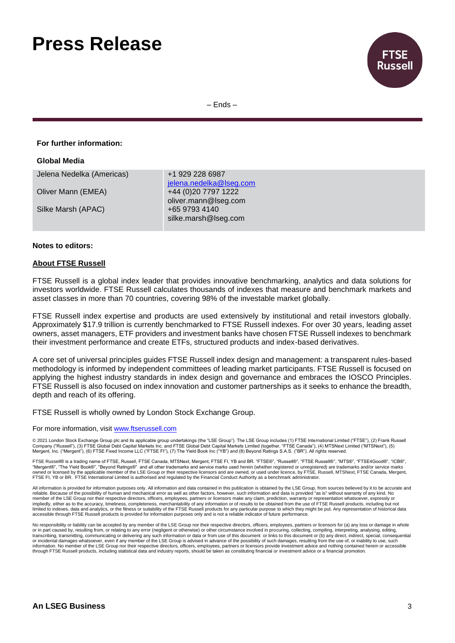

– Ends –

#### **For further information:**

| Global Media              |                                                                        |
|---------------------------|------------------------------------------------------------------------|
| Jelena Nedelka (Americas) | +1 929 228 6987                                                        |
| Oliver Mann (EMEA)        | jelena.nedelka@lseg.com<br>+44 (0)20 7797 1222<br>oliver.mann@lseg.com |
| Silke Marsh (APAC)        | +65 9793 4140<br>silke.marsh@lseg.com                                  |

#### **Notes to editors:**

#### **About FTSE Russell**

FTSE Russell is a global index leader that provides innovative benchmarking, analytics and data solutions for investors worldwide. FTSE Russell calculates thousands of indexes that measure and benchmark markets and asset classes in more than 70 countries, covering 98% of the investable market globally.

FTSE Russell index expertise and products are used extensively by institutional and retail investors globally. Approximately \$17.9 trillion is currently benchmarked to FTSE Russell indexes. For over 30 years, leading asset owners, asset managers, ETF providers and investment banks have chosen FTSE Russell indexes to benchmark their investment performance and create ETFs, structured products and index-based derivatives.

A core set of universal principles guides FTSE Russell index design and management: a transparent rules-based methodology is informed by independent committees of leading market participants. FTSE Russell is focused on applying the highest industry standards in index design and governance and embraces the IOSCO Principles. FTSE Russell is also focused on index innovation and customer partnerships as it seeks to enhance the breadth, depth and reach of its offering.

FTSE Russell is wholly owned by London Stock Exchange Group.

#### For more information, visit [www.ftserussell.com](http://www.ftserussell.com/)

© 2021 London Stock Exchange Group plc and its applicable group undertakings (the "LSE Group"). The LSE Group includes (1) FTSE International Limited ("FTSE"), (2) Frank Russell Company ("Russell"), (3) FTSE Global Debt Capital Markets Inc. and FTSE Global Debt Capital Markets Limited (together, "FTSE Canada"), (4) MTSNext Limited ("MTSNext"), (5)<br>Mergent, Inc. ("Mergent"), (6) FTSE Fixed Income L

FTSE Russell® is a trading name of FTSE, Russell, FTSE Canada, MTSNext, Mergent, FTSE FI, YB and BR. "FTSE®", "Russell®", "FTSE Russell®", "MTS®", "FTSE4Good®", "ICB®", "Mergent®", "The Yield Book®", "Beyond Ratings®" and all other trademarks and service marks used herein (whether registered or unregistered) are trademarks and/or service marks owned or licensed by the applicable member of the LSE Group or their respective licensors and are owned, or used under licence, by FTSE, Russell, MTSNext, FTSE Canada, Mergent, FTSE FI, YB or BR. FTSE International Limited is authorised and regulated by the Financial Conduct Authority as a benchmark administrator.

All information is provided for information purposes only. All information and data contained in this publication is obtained by the LSE Group, from sources believed by it to be accurate and reliable. Because of the possibility of human and mechanical error as well as other factors, however, such information and data is provided "as is" without warranty of any kind. No member of the LSE Group nor their respective directors, officers, employees, partners or licensors make any claim, prediction, warranty or representation whatsoever, expressly or<br>impliedly, either as to the accuracy, timel limited to indexes, data and analytics, or the fitness or suitability of the FTSE Russell products for any particular purpose to which they might be put. Any representation of historical data<br>accessible through FTSE Russel

No responsibility or liability can be accepted by any member of the LSE Group nor their respective directors, officers, employees, partners or licensors for (a) any loss or damage in whole or in part caused by, resulting from, or relating to any error (negligent or otherwise) or other circumstance involved in procuring, collecting, compiling, interpreting, analysing, editing,<br>transcribing, transmitting, comm information. No member of the LSE Group nor their respective directors, officers, employees, partners or licensors provide investment advice and nothing contained herein or accessible through FTSE Russell products, including statistical data and industry reports, should be taken as constituting financial or investment advice or a financial promotion.